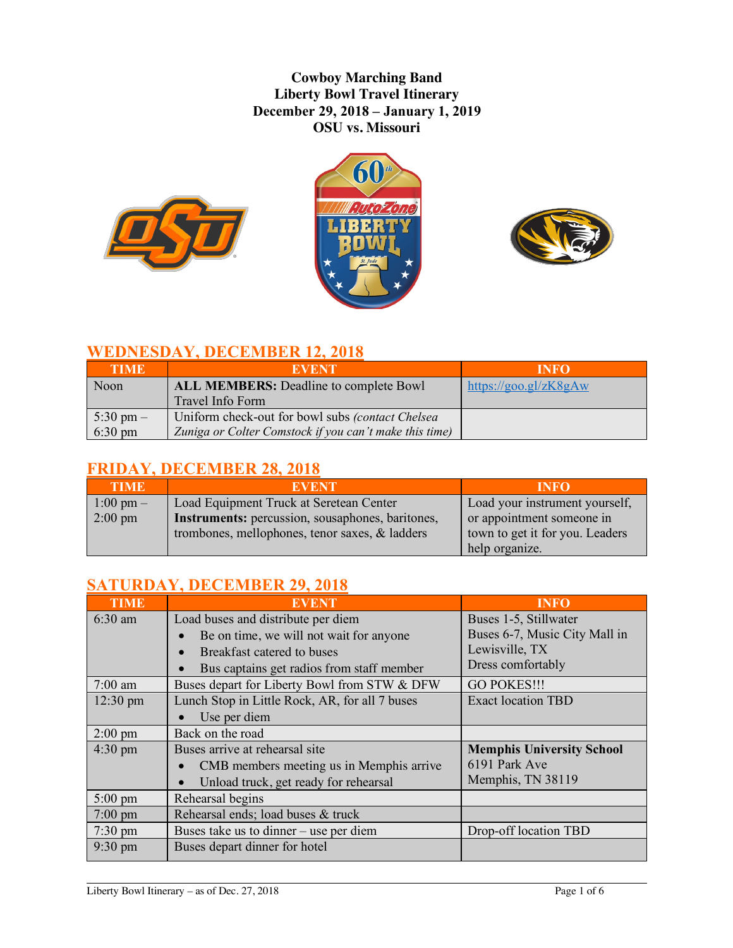**Cowboy Marching Band Liberty Bowl Travel Itinerary December 29, 2018 – January 1, 2019 OSU vs. Missouri**







## **WEDNESDAY, DECEMBER 12, 2018**

| <b>TIME</b>         | <b>EVENT</b>                                           | <b>INFO</b>           |
|---------------------|--------------------------------------------------------|-----------------------|
| Noon                | <b>ALL MEMBERS:</b> Deadline to complete Bowl          | https://goo.gl/zK8gAw |
|                     | Travel Info Form                                       |                       |
| $5:30 \text{ pm} -$ | Uniform check-out for bowl subs (contact Chelsea       |                       |
| $6:30 \text{ pm}$   | Zuniga or Colter Comstock if you can't make this time) |                       |

## **FRIDAY, DECEMBER 28, 2018**

| <b>TIME</b>         | <b>EVENT</b>                                            | <b>INFO</b>                     |
|---------------------|---------------------------------------------------------|---------------------------------|
| $1:00 \text{ pm} -$ | Load Equipment Truck at Seretean Center                 | Load your instrument yourself,  |
| $2:00 \text{ pm}$   | <b>Instruments:</b> percussion, sousaphones, baritones, | or appointment someone in       |
|                     | trombones, mellophones, tenor saxes, & ladders          | town to get it for you. Leaders |
|                     |                                                         | help organize.                  |

# **SATURDAY, DECEMBER 29, 2018**

| <b>TIME</b>        | <b>EVENT</b>                                   | INFO                             |
|--------------------|------------------------------------------------|----------------------------------|
| $6:30$ am          | Load buses and distribute per diem             | Buses 1-5, Stillwater            |
|                    | Be on time, we will not wait for anyone        | Buses 6-7, Music City Mall in    |
|                    | Breakfast catered to buses<br>$\bullet$        | Lewisville, TX                   |
|                    | Bus captains get radios from staff member      | Dress comfortably                |
| $7:00 \text{ am}$  | Buses depart for Liberty Bowl from STW & DFW   | <b>GO POKES!!!</b>               |
| $12:30 \text{ pm}$ | Lunch Stop in Little Rock, AR, for all 7 buses | <b>Exact location TBD</b>        |
|                    | Use per diem                                   |                                  |
| $2:00 \text{ pm}$  | Back on the road                               |                                  |
| $4:30 \text{ pm}$  | Buses arrive at rehearsal site                 | <b>Memphis University School</b> |
|                    | CMB members meeting us in Memphis arrive       | 6191 Park Ave                    |
|                    | Unload truck, get ready for rehearsal          | Memphis, TN 38119                |
| $5:00 \text{ pm}$  | Rehearsal begins                               |                                  |
| $7:00 \text{ pm}$  | Rehearsal ends; load buses & truck             |                                  |
| $7:30 \text{ pm}$  | Buses take us to dinner $-$ use per diem       | Drop-off location TBD            |
| $9:30 \text{ pm}$  | Buses depart dinner for hotel                  |                                  |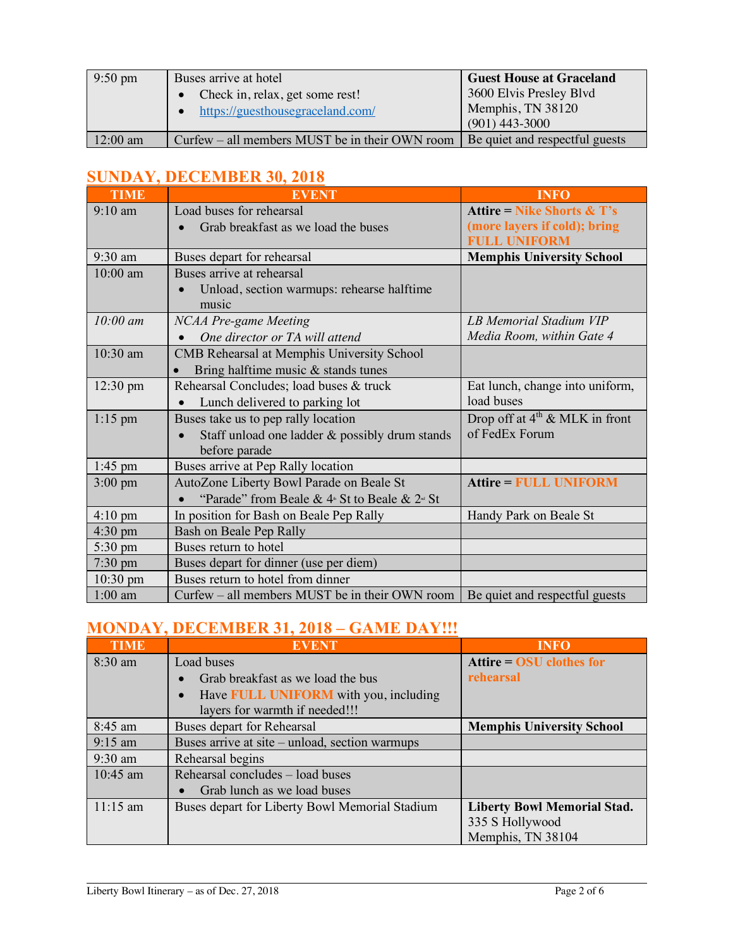| $9:50 \text{ pm}$ | Buses arrive at hotel                          | <b>Guest House at Graceland</b> |
|-------------------|------------------------------------------------|---------------------------------|
|                   | • Check in, relax, get some rest!              | 3600 Elvis Presley Blvd         |
|                   | https://guesthousegraceland.com/               | Memphis, TN 38120               |
|                   |                                                | $(901)$ 443-3000                |
| $12:00$ am        | Curfew – all members MUST be in their OWN room | Be quiet and respectful guests  |

# **SUNDAY, DECEMBER 30, 2018**

| <b>TIME</b>        | <b>EVENT</b>                                                                          | <b>INFO</b>                      |
|--------------------|---------------------------------------------------------------------------------------|----------------------------------|
| $9:10 \text{ am}$  | Load buses for rehearsal                                                              | Attire = Nike Shorts $\&$ T's    |
|                    | Grab breakfast as we load the buses                                                   | (more layers if cold); bring     |
|                    |                                                                                       | <b>FULL UNIFORM</b>              |
| $9:30$ am          | Buses depart for rehearsal                                                            | <b>Memphis University School</b> |
| $10:00$ am         | Buses arrive at rehearsal                                                             |                                  |
|                    | Unload, section warmups: rehearse halftime                                            |                                  |
|                    | music                                                                                 |                                  |
| $10:00$ am         | NCAA Pre-game Meeting                                                                 | LB Memorial Stadium VIP          |
|                    | One director or TA will attend                                                        | Media Room, within Gate 4        |
| $10:30$ am         | CMB Rehearsal at Memphis University School                                            |                                  |
|                    | Bring halftime music $&$ stands tunes                                                 |                                  |
| $12:30 \text{ pm}$ | Rehearsal Concludes; load buses & truck                                               | Eat lunch, change into uniform,  |
|                    | Lunch delivered to parking lot                                                        | load buses                       |
| $1:15$ pm          | Buses take us to pep rally location                                                   | Drop off at $4th$ & MLK in front |
|                    | Staff unload one ladder & possibly drum stands                                        | of FedEx Forum                   |
|                    | before parade                                                                         |                                  |
| $1:45$ pm          | Buses arrive at Pep Rally location                                                    |                                  |
| $3:00 \text{ pm}$  | AutoZone Liberty Bowl Parade on Beale St                                              | <b>Attire = FULL UNIFORM</b>     |
|                    | "Parade" from Beale & 4 St to Beale & 2 <sup>nd</sup> St                              |                                  |
| $4:10 \text{ pm}$  | In position for Bash on Beale Pep Rally                                               | Handy Park on Beale St           |
| $4:30$ pm          | Bash on Beale Pep Rally                                                               |                                  |
| $5:30 \text{ pm}$  | Buses return to hotel                                                                 |                                  |
| $7:30$ pm          | Buses depart for dinner (use per diem)                                                |                                  |
| $10:30 \text{ pm}$ | Buses return to hotel from dinner                                                     |                                  |
| $1:00$ am          | Curfew – all members MUST be in their OWN room $\vert$ Be quiet and respectful guests |                                  |

# **MONDAY, DECEMBER 31, 2018 – GAME DAY!!!**

| <b>TIME</b>        | <b>EVENT</b>                                       | <b>INFO</b>                        |
|--------------------|----------------------------------------------------|------------------------------------|
| $8:30$ am          | Load buses                                         | <b>Attire = OSU clothes for</b>    |
|                    | Grab breakfast as we load the bus                  | rehearsal                          |
|                    | Have FULL UNIFORM with you, including<br>$\bullet$ |                                    |
|                    | layers for warmth if needed!!!                     |                                    |
| $8:45$ am          | Buses depart for Rehearsal                         | <b>Memphis University School</b>   |
| $9:15$ am          | Buses arrive at site – unload, section warmups     |                                    |
| $9:30$ am          | Rehearsal begins                                   |                                    |
| $10:45$ am         | Rehearsal concludes – load buses                   |                                    |
|                    | Grab lunch as we load buses                        |                                    |
| $11:15 \text{ am}$ | Buses depart for Liberty Bowl Memorial Stadium     | <b>Liberty Bowl Memorial Stad.</b> |
|                    |                                                    | 335 S Hollywood                    |
|                    |                                                    | Memphis, TN 38104                  |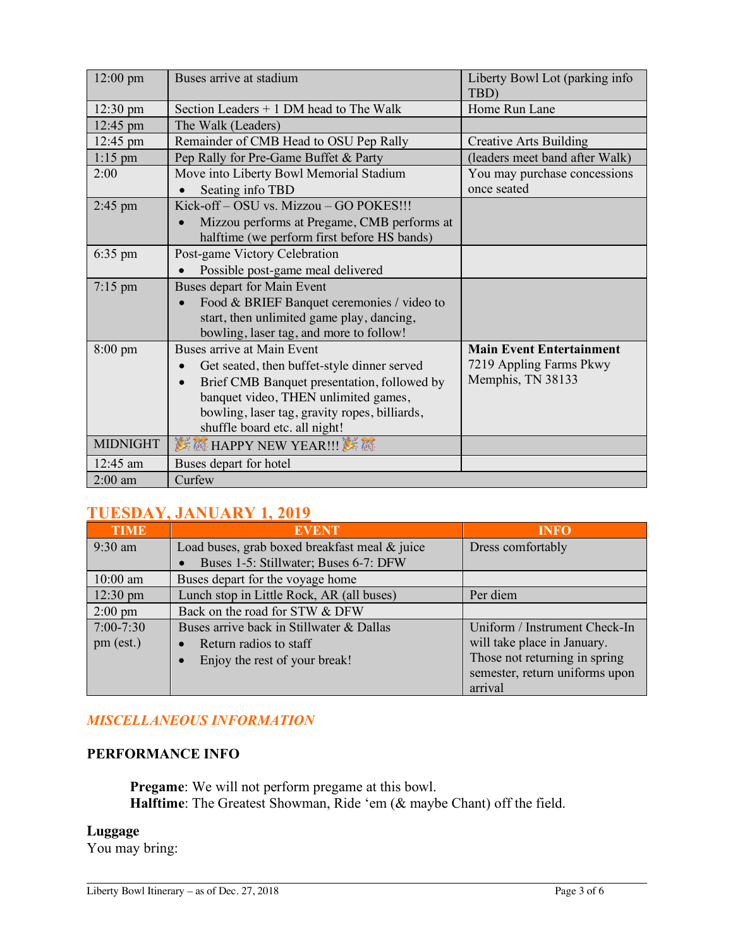| $12:00 \text{ pm}$ | Buses arrive at stadium                       | Liberty Bowl Lot (parking info  |
|--------------------|-----------------------------------------------|---------------------------------|
|                    |                                               | TBD)                            |
| $12:30 \text{ pm}$ | Section Leaders + 1 DM head to The Walk       | Home Run Lane                   |
| $12:45 \text{ pm}$ | The Walk (Leaders)                            |                                 |
| $12:45 \text{ pm}$ | Remainder of CMB Head to OSU Pep Rally        | <b>Creative Arts Building</b>   |
| $1:15$ pm          | Pep Rally for Pre-Game Buffet & Party         | (leaders meet band after Walk)  |
| 2:00               | Move into Liberty Bowl Memorial Stadium       | You may purchase concessions    |
|                    | Seating info TBD                              | once seated                     |
| $2:45$ pm          | Kick-off-OSU vs. Mizzou-GO POKES!!!           |                                 |
|                    | Mizzou performs at Pregame, CMB performs at   |                                 |
|                    | halftime (we perform first before HS bands)   |                                 |
| $6:35$ pm          | Post-game Victory Celebration                 |                                 |
|                    | Possible post-game meal delivered             |                                 |
| $7:15$ pm          | Buses depart for Main Event                   |                                 |
|                    | Food & BRIEF Banquet ceremonies / video to    |                                 |
|                    | start, then unlimited game play, dancing,     |                                 |
|                    | bowling, laser tag, and more to follow!       |                                 |
| $8:00 \text{ pm}$  | <b>Buses arrive at Main Event</b>             | <b>Main Event Entertainment</b> |
|                    | Get seated, then buffet-style dinner served   | 7219 Appling Farms Pkwy         |
|                    | Brief CMB Banquet presentation, followed by   | Memphis, TN 38133               |
|                    | banquet video, THEN unlimited games,          |                                 |
|                    | bowling, laser tag, gravity ropes, billiards, |                                 |
|                    | shuffle board etc. all night!                 |                                 |
| <b>MIDNIGHT</b>    | <b>※ 高 HAPPY NEW YEAR!!! ※ 高</b>              |                                 |
| $12:45$ am         | Buses depart for hotel                        |                                 |
| $2:00$ am          | Curfew                                        |                                 |

# **TUESDAY, JANUARY 1, 2019**

| <b>TIME</b>        | <b>EVENT</b>                                       | <b>INFO</b>                    |
|--------------------|----------------------------------------------------|--------------------------------|
| $9:30$ am          | Load buses, grab boxed breakfast meal & juice      | Dress comfortably              |
|                    | Buses 1-5: Stillwater; Buses 6-7: DFW<br>$\bullet$ |                                |
| $10:00$ am         | Buses depart for the voyage home                   |                                |
| $12:30 \text{ pm}$ | Lunch stop in Little Rock, AR (all buses)          | Per diem                       |
| $2:00 \text{ pm}$  | Back on the road for STW & DFW                     |                                |
| $7:00 - 7:30$      | Buses arrive back in Stillwater & Dallas           | Uniform / Instrument Check-In  |
| pm (est.)          | Return radios to staff<br>$\bullet$                | will take place in January.    |
|                    | Enjoy the rest of your break!                      | Those not returning in spring  |
|                    |                                                    | semester, return uniforms upon |
|                    |                                                    | arrival                        |

## *MISCELLANEOUS INFORMATION*

## **PERFORMANCE INFO**

**Pregame**: We will not perform pregame at this bowl. **Halftime**: The Greatest Showman, Ride 'em (& maybe Chant) off the field.

## **Luggage**

You may bring: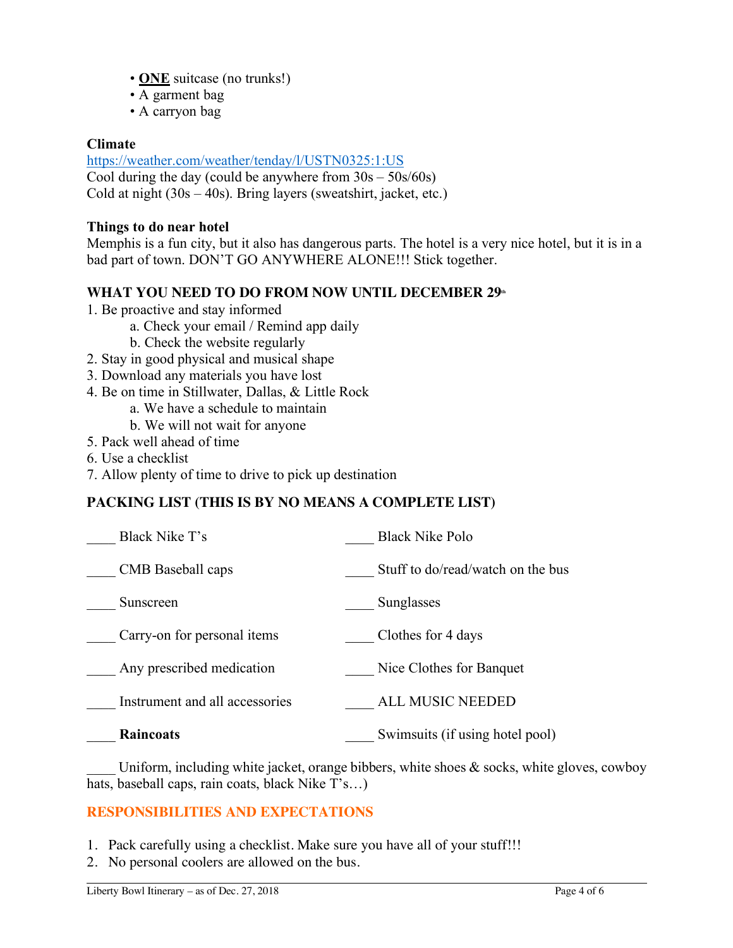- **ONE** suitcase (no trunks!)
- A garment bag
- A carryon bag

#### **Climate**

https://weather.com/weather/tenday/l/USTN0325:1:US Cool during the day (could be anywhere from 30s – 50s/60s) Cold at night (30s – 40s). Bring layers (sweatshirt, jacket, etc.)

#### **Things to do near hotel**

Memphis is a fun city, but it also has dangerous parts. The hotel is a very nice hotel, but it is in a bad part of town. DON'T GO ANYWHERE ALONE!!! Stick together.

#### WHAT YOU NEED TO DO FROM NOW UNTIL DECEMBER 29<sup>th</sup>

- 1. Be proactive and stay informed
	- a. Check your email / Remind app daily
	- b. Check the website regularly
- 2. Stay in good physical and musical shape
- 3. Download any materials you have lost
- 4. Be on time in Stillwater, Dallas, & Little Rock
	- a. We have a schedule to maintain
	- b. We will not wait for anyone
- 5. Pack well ahead of time
- 6. Use a checklist
- 7. Allow plenty of time to drive to pick up destination

## **PACKING LIST (THIS IS BY NO MEANS A COMPLETE LIST)**

| Black Nike T's                 | <b>Black Nike Polo</b>            |
|--------------------------------|-----------------------------------|
| CMB Baseball caps              | Stuff to do/read/watch on the bus |
| Sunscreen                      | Sunglasses                        |
| Carry-on for personal items    | Clothes for 4 days                |
| Any prescribed medication      | Nice Clothes for Banquet          |
| Instrument and all accessories | <b>ALL MUSIC NEEDED</b>           |
| <b>Raincoats</b>               | Swimsuits (if using hotel pool)   |

Uniform, including white jacket, orange bibbers, white shoes  $\&$  socks, white gloves, cowboy hats, baseball caps, rain coats, black Nike T's...)

#### **RESPONSIBILITIES AND EXPECTATIONS**

- 1. Pack carefully using a checklist. Make sure you have all of your stuff!!!
- 2. No personal coolers are allowed on the bus.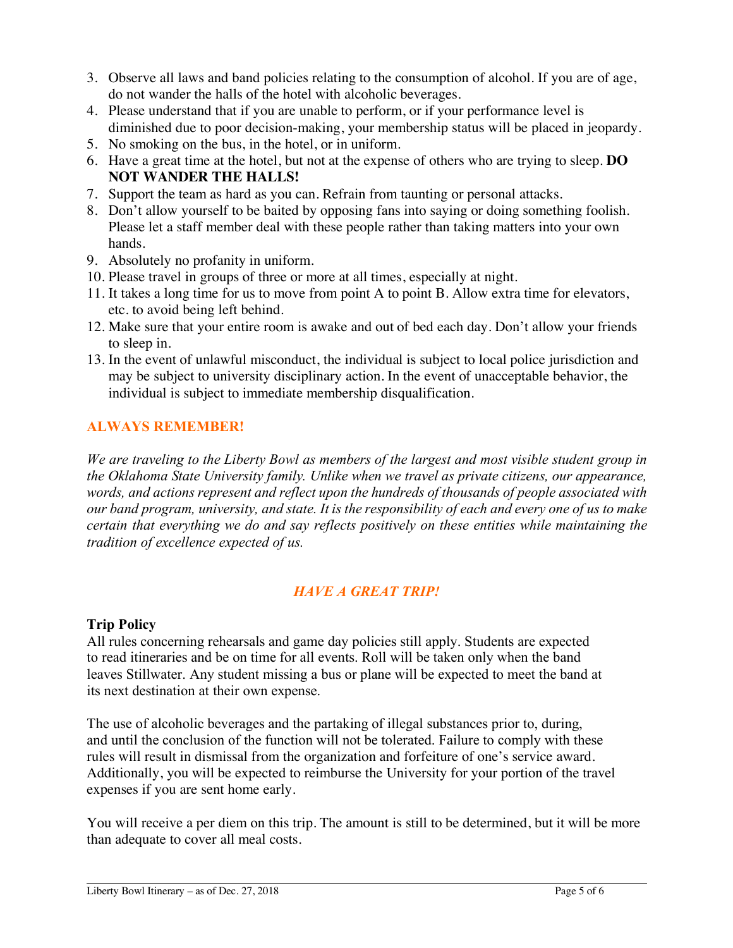- 3. Observe all laws and band policies relating to the consumption of alcohol. If you are of age, do not wander the halls of the hotel with alcoholic beverages.
- 4. Please understand that if you are unable to perform, or if your performance level is diminished due to poor decision-making, your membership status will be placed in jeopardy.
- 5. No smoking on the bus, in the hotel, or in uniform.
- 6. Have a great time at the hotel, but not at the expense of others who are trying to sleep. **DO NOT WANDER THE HALLS!**
- 7. Support the team as hard as you can. Refrain from taunting or personal attacks.
- 8. Don't allow yourself to be baited by opposing fans into saying or doing something foolish. Please let a staff member deal with these people rather than taking matters into your own hands.
- 9. Absolutely no profanity in uniform.
- 10. Please travel in groups of three or more at all times, especially at night.
- 11. It takes a long time for us to move from point A to point B. Allow extra time for elevators, etc. to avoid being left behind.
- 12. Make sure that your entire room is awake and out of bed each day. Don't allow your friends to sleep in.
- 13. In the event of unlawful misconduct, the individual is subject to local police jurisdiction and may be subject to university disciplinary action. In the event of unacceptable behavior, the individual is subject to immediate membership disqualification.

## **ALWAYS REMEMBER!**

*We are traveling to the Liberty Bowl as members of the largest and most visible student group in the Oklahoma State University family. Unlike when we travel as private citizens, our appearance, words, and actions represent and reflect upon the hundreds of thousands of people associated with our band program, university, and state. It is the responsibility of each and every one of us to make certain that everything we do and say reflects positively on these entities while maintaining the tradition of excellence expected of us.*

## *HAVE A GREAT TRIP!*

## **Trip Policy**

All rules concerning rehearsals and game day policies still apply. Students are expected to read itineraries and be on time for all events. Roll will be taken only when the band leaves Stillwater. Any student missing a bus or plane will be expected to meet the band at its next destination at their own expense.

The use of alcoholic beverages and the partaking of illegal substances prior to, during, and until the conclusion of the function will not be tolerated. Failure to comply with these rules will result in dismissal from the organization and forfeiture of one's service award. Additionally, you will be expected to reimburse the University for your portion of the travel expenses if you are sent home early.

You will receive a per diem on this trip. The amount is still to be determined, but it will be more than adequate to cover all meal costs.